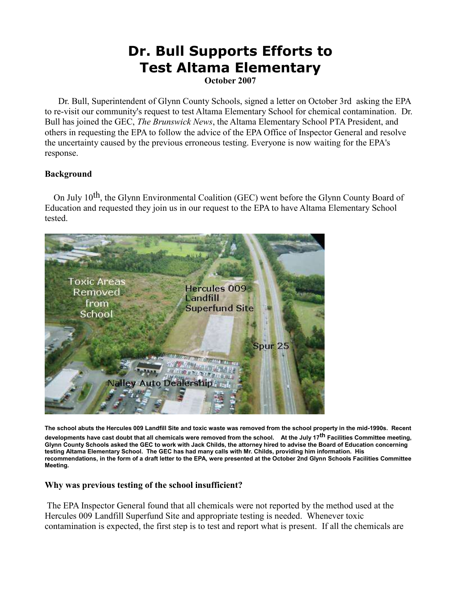# **Dr. Bull Supports Efforts to Test Altama Elementary**

**October 2007**

 Dr. Bull, Superintendent of Glynn County Schools, signed a letter on October 3rd asking the EPA to re-visit our community's request to test Altama Elementary School for chemical contamination. Dr. Bull has joined the GEC, *The Brunswick News*, the Altama Elementary School PTA President, and others in requesting the EPA to follow the advice of the EPA Office of Inspector General and resolve the uncertainty caused by the previous erroneous testing. Everyone is now waiting for the EPA's response.

# **Background**

 On July 10th, the Glynn Environmental Coalition (GEC) went before the Glynn County Board of Education and requested they join us in our request to the EPA to have Altama Elementary School tested.



**The school abuts the Hercules 009 Landfill Site and toxic waste was removed from the school property in the mid-1990s. Recent developments have cast doubt that all chemicals were removed from the school. At the July 17th Facilities Committee meeting, Glynn County Schools asked the GEC to work with Jack Childs, the attorney hired to advise the Board of Education concerning testing Altama Elementary School. The GEC has had many calls with Mr. Childs, providing him information. His recommendations, in the form of a draft letter to the EPA, were presented at the October 2nd Glynn Schools Facilities Committee Meeting.**

#### **Why was previous testing of the school insufficient?**

The EPA Inspector General found that all chemicals were not reported by the method used at the Hercules 009 Landfill Superfund Site and appropriate testing is needed. Whenever toxic contamination is expected, the first step is to test and report what is present. If all the chemicals are